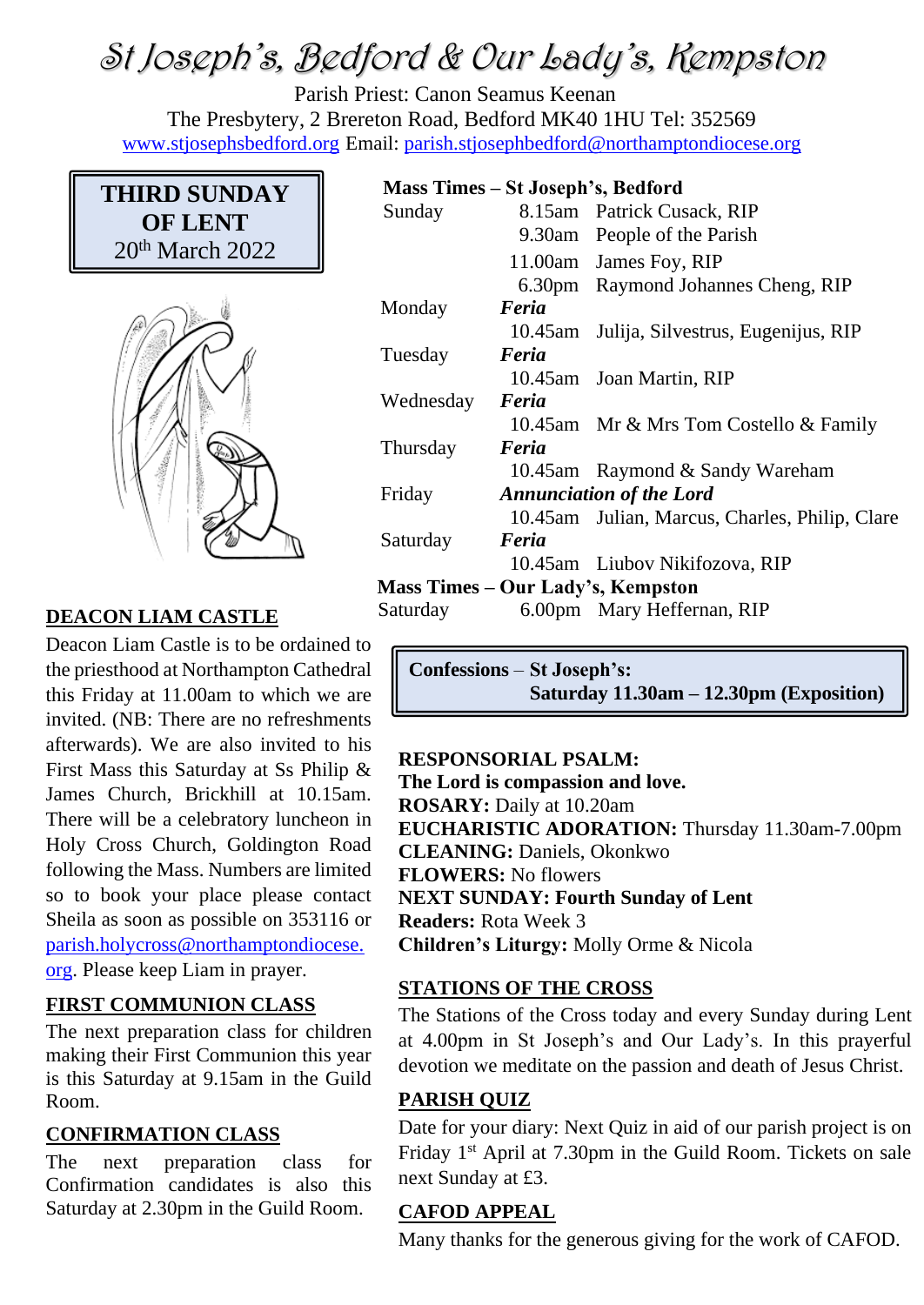# St Joseph's, Bedford & Our Lady's, Kempston

Parish Priest: Canon Seamus Keenan The Presbytery, 2 Brereton Road, Bedford MK40 1HU Tel: 352569 [www.stjosephsbedford.org](http://www.stjosephsbedford.org/) Email: [parish.stjosephbedford@northamptondiocese.org](mailto:parish.stjosephbedford@northamptondiocese.org)

# **THIRD SUNDAY OF LENT** 20<sup>th</sup> March 2022



# **DEACON LIAM CASTLE** Sati

Deacon Liam Castle is to be ordained to the priesthood at Northampton Cathedral this Friday at 11.00am to which we are invited. (NB: There are no refreshments afterwards). We are also invited to his First Mass this Saturday at Ss Philip & James Church, Brickhill at 10.15am. There will be a celebratory luncheon in Holy Cross Church, Goldington Road following the Mass. Numbers are limited so to book your place please contact Sheila as soon as possible on 353116 or [parish.holycross@northamptondiocese.](mailto:parish.holycross@northamptondiocese.org) [org.](mailto:parish.holycross@northamptondiocese.org) Please keep Liam in prayer.

# **FIRST COMMUNION CLASS**

The next preparation class for children making their First Communion this year is this Saturday at 9.15am in the Guild Room.

# **CONFIRMATION CLASS**

The next preparation class for Confirmation candidates is also this Saturday at 2.30pm in the Guild Room.

#### **Mass Times – St Joseph's, Bedford**

| Sunday    |                                 | 8.15am Patrick Cusack, RIP                     |
|-----------|---------------------------------|------------------------------------------------|
|           |                                 | 9.30am People of the Parish                    |
|           |                                 | 11.00am James Foy, RIP                         |
|           |                                 | 6.30pm Raymond Johannes Cheng, RIP             |
| Monday    | Feria                           |                                                |
|           |                                 | 10.45am Julija, Silvestrus, Eugenijus, RIP     |
| Tuesday   | Feria                           |                                                |
|           |                                 | 10.45am Joan Martin, RIP                       |
| Wednesday | Feria                           |                                                |
|           |                                 | 10.45am Mr & Mrs Tom Costello & Family         |
| Thursday  | Feria                           |                                                |
|           |                                 | 10.45am Raymond & Sandy Wareham                |
| Friday    | <b>Annunciation of the Lord</b> |                                                |
|           |                                 | 10.45am Julian, Marcus, Charles, Philip, Clare |
| Saturday  | Feria                           |                                                |
|           |                                 | 10.45am Liubov Nikifozova, RIP                 |
|           |                                 | Mass Times – Our Lady's, Kempston              |
| Saturday  |                                 | 6.00pm Mary Heffernan, RIP                     |

**Confessions** – **St Joseph's: Saturday 11.30am – 12.30pm (Exposition)**

# **RESPONSORIAL PSALM:**

**The Lord is compassion and love. ROSARY:** Daily at 10.20am **EUCHARISTIC ADORATION:** Thursday 11.30am-7.00pm **CLEANING:** Daniels, Okonkwo **FLOWERS:** No flowers **NEXT SUNDAY: Fourth Sunday of Lent Readers:** Rota Week 3 **Children's Liturgy:** Molly Orme & Nicola

#### **STATIONS OF THE CROSS**

The Stations of the Cross today and every Sunday during Lent at 4.00pm in St Joseph's and Our Lady's. In this prayerful devotion we meditate on the passion and death of Jesus Christ.

#### **PARISH QUIZ**

Date for your diary: Next Quiz in aid of our parish project is on Friday 1st April at 7.30pm in the Guild Room. Tickets on sale next Sunday at £3.

#### **CAFOD APPEAL**

Many thanks for the generous giving for the work of CAFOD.